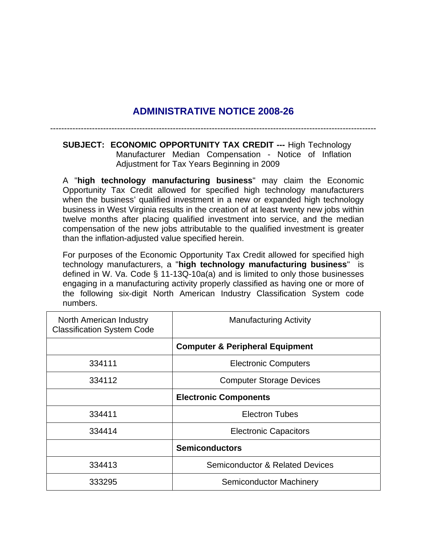## **ADMINISTRATIVE NOTICE 2008-26**

---------------------------------------------------------------------------------------------------------------------

**SUBJECT: ECONOMIC OPPORTUNITY TAX CREDIT ---** High Technology Manufacturer Median Compensation - Notice of Inflation Adjustment for Tax Years Beginning in 2009

A "**high technology manufacturing business**" may claim the Economic Opportunity Tax Credit allowed for specified high technology manufacturers when the business' qualified investment in a new or expanded high technology business in West Virginia results in the creation of at least twenty new jobs within twelve months after placing qualified investment into service, and the median compensation of the new jobs attributable to the qualified investment is greater than the inflation-adjusted value specified herein.

For purposes of the Economic Opportunity Tax Credit allowed for specified high technology manufacturers, a "**high technology manufacturing business**" is defined in W. Va. Code § 11-13Q-10a(a) and is limited to only those businesses engaging in a manufacturing activity properly classified as having one or more of the following six-digit North American Industry Classification System code numbers.

| North American Industry<br><b>Classification System Code</b> | <b>Manufacturing Activity</b>              |
|--------------------------------------------------------------|--------------------------------------------|
|                                                              | <b>Computer &amp; Peripheral Equipment</b> |
| 334111                                                       | <b>Electronic Computers</b>                |
| 334112                                                       | <b>Computer Storage Devices</b>            |
|                                                              | <b>Electronic Components</b>               |
| 334411                                                       | <b>Electron Tubes</b>                      |
| 334414                                                       | <b>Electronic Capacitors</b>               |
|                                                              | <b>Semiconductors</b>                      |
| 334413                                                       | <b>Semiconductor &amp; Related Devices</b> |
| 333295                                                       | <b>Semiconductor Machinery</b>             |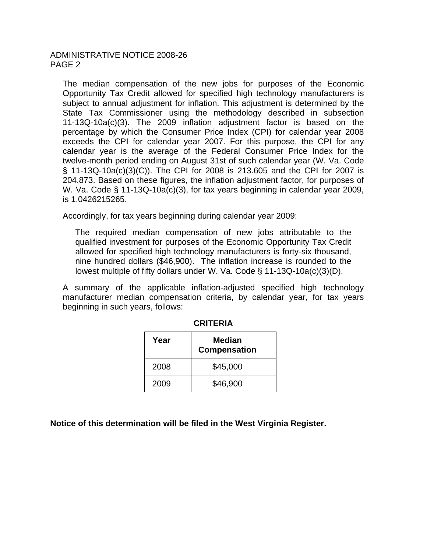The median compensation of the new jobs for purposes of the Economic Opportunity Tax Credit allowed for specified high technology manufacturers is subject to annual adjustment for inflation. This adjustment is determined by the State Tax Commissioner using the methodology described in subsection 11-13Q-10a(c)(3). The 2009 inflation adjustment factor is based on the percentage by which the Consumer Price Index (CPI) for calendar year 2008 exceeds the CPI for calendar year 2007. For this purpose, the CPI for any calendar year is the average of the Federal Consumer Price Index for the twelve-month period ending on August 31st of such calendar year (W. Va. Code § 11-13Q-10a(c)(3)(C)). The CPI for 2008 is 213.605 and the CPI for 2007 is 204.873. Based on these figures, the inflation adjustment factor, for purposes of W. Va. Code § 11-13Q-10a(c)(3), for tax years beginning in calendar year 2009, is 1.0426215265.

Accordingly, for tax years beginning during calendar year 2009:

The required median compensation of new jobs attributable to the qualified investment for purposes of the Economic Opportunity Tax Credit allowed for specified high technology manufacturers is forty-six thousand, nine hundred dollars (\$46,900). The inflation increase is rounded to the lowest multiple of fifty dollars under W. Va. Code § 11-13Q-10a(c)(3)(D).

A summary of the applicable inflation-adjusted specified high technology manufacturer median compensation criteria, by calendar year, for tax years beginning in such years, follows:

| Year | Median<br><b>Compensation</b> |
|------|-------------------------------|
| 2008 | \$45,000                      |
| 2009 | \$46,900                      |

**CRITERIA** 

**Notice of this determination will be filed in the West Virginia Register.**